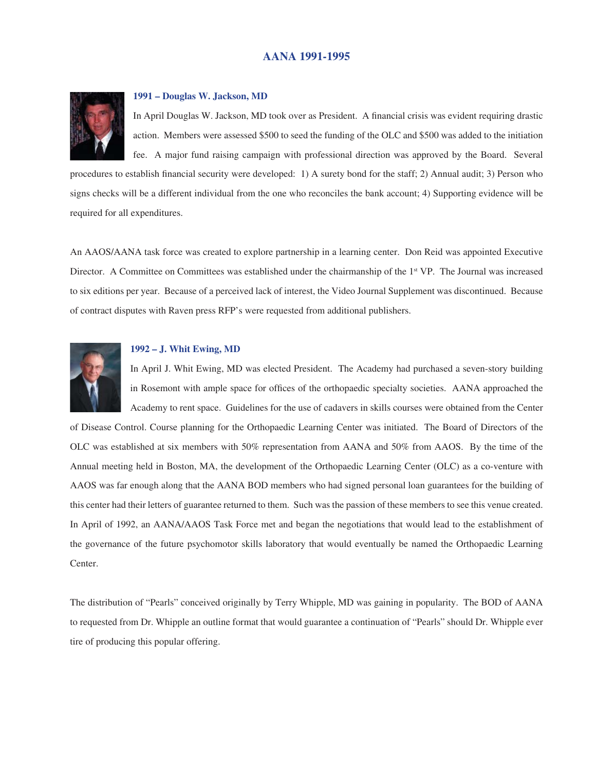# **AANA 1991-1995**



#### **1991 – Douglas W. Jackson, MD**

In April Douglas W. Jackson, MD took over as President. A financial crisis was evident requiring drastic action. Members were assessed \$500 to seed the funding of the OLC and \$500 was added to the initiation fee. A major fund raising campaign with professional direction was approved by the Board. Several

procedures to establish financial security were developed: 1) A surety bond for the staff; 2) Annual audit; 3) Person who signs checks will be a different individual from the one who reconciles the bank account; 4) Supporting evidence will be required for all expenditures.

An AAOS/AANA task force was created to explore partnership in a learning center. Don Reid was appointed Executive Director. A Committee on Committees was established under the chairmanship of the 1<sup>st</sup> VP. The Journal was increased to six editions per year. Because of a perceived lack of interest, the Video Journal Supplement was discontinued. Because of contract disputes with Raven press RFP's were requested from additional publishers.



### **1992 – J. Whit Ewing, MD**

In April J. Whit Ewing, MD was elected President. The Academy had purchased a seven-story building in Rosemont with ample space for offices of the orthopaedic specialty societies. AANA approached the Academy to rent space. Guidelines for the use of cadavers in skills courses were obtained from the Center

of Disease Control. Course planning for the Orthopaedic Learning Center was initiated. The Board of Directors of the OLC was established at six members with 50% representation from AANA and 50% from AAOS. By the time of the Annual meeting held in Boston, MA, the development of the Orthopaedic Learning Center (OLC) as a co-venture with AAOS was far enough along that the AANA BOD members who had signed personal loan guarantees for the building of this center had their letters of guarantee returned to them. Such was the passion of these members to see this venue created. In April of 1992, an AANA/AAOS Task Force met and began the negotiations that would lead to the establishment of the governance of the future psychomotor skills laboratory that would eventually be named the Orthopaedic Learning Center.

The distribution of "Pearls" conceived originally by Terry Whipple, MD was gaining in popularity. The BOD of AANA to requested from Dr. Whipple an outline format that would guarantee a continuation of "Pearls" should Dr. Whipple ever tire of producing this popular offering.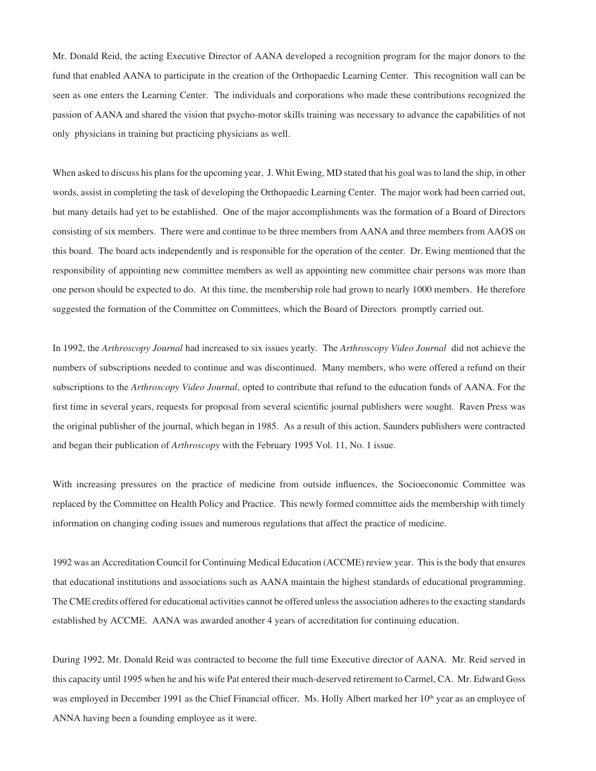Mr. Donald Reid, the acting Executive Director of AANA developed a recognition program for the major donors to the fund that enabled AANA to participate in the creation of the Orthopaedic Learning Center. This recognition wall can be seen as one enters the Learning Center. The individuals and corporations who made these contributions recognized the passion of AANA and shared the vision that psycho-motor skills training was necessary to advance the capabilities of not only physicians in training but practicing physicians as well.

When asked to discuss his plans for the upcoming year, J. Whit Ewing, MD stated that his goal was to land the ship, in other words, assist in completing the task of developing the Orthopaedic Learning Center. The major work had been carried out, but many details had yet to be established. One of the major accomplishments was the formation of a Board of Directors consisting of six members. There were and continue to be three members from AANA and three members from AAOS on this board. The board acts independently and is responsible for the operation of the center. Dr. Ewing mentioned that the responsibility of appointing new committee members as well as appointing new committee chair persons was more than one person should be expected to do. At this time, the membership role had grown to nearly 1000 members. He therefore suggested the formation of the Committee on Committees, which the Board of Directors promptly carried out.

In 1992, the *Arthroscopy Journal* had increased to six issues yearly. The *Arthroscopy Video Journal* did not achieve the numbers of subscriptions needed to continue and was discontinued. Many members, who were offered a refund on their subscriptions to the *Arthroscopy Video Journal*, opted to contribute that refund to the education funds of AANA. For the first time in several years, requests for proposal from several scientific journal publishers were sought. Raven Press was the original publisher of the journal, which began in 1985. As a result of this action, Saunders publishers were contracted and began their publication of *Arthroscopy* with the February 1995 Vol. 11, No. 1 issue.

With increasing pressures on the practice of medicine from outside influences, the Socioeconomic Committee was replaced by the Committee on Health Policy and Practice. This newly formed committee aids the membership with timely information on changing coding issues and numerous regulations that affect the practice of medicine.

1992 was an Accreditation Council for Continuing Medical Education (ACCME) review year. This is the body that ensures that educational institutions and associations such as AANA maintain the highest standards of educational programming. The CME credits offered for educational activities cannot be offered unless the association adheres to the exacting standards established by ACCME. AANA was awarded another 4 years of accreditation for continuing education.

During 1992, Mr. Donald Reid was contracted to become the full time Executive director of AANA. Mr. Reid served in this capacity until 1995 when he and his wife Pat entered their much-deserved retirement to Carmel, CA. Mr. Edward Goss was employed in December 1991 as the Chief Financial officer. Ms. Holly Albert marked her 10<sup>th</sup> year as an employee of ANNA having been a founding employee as it were.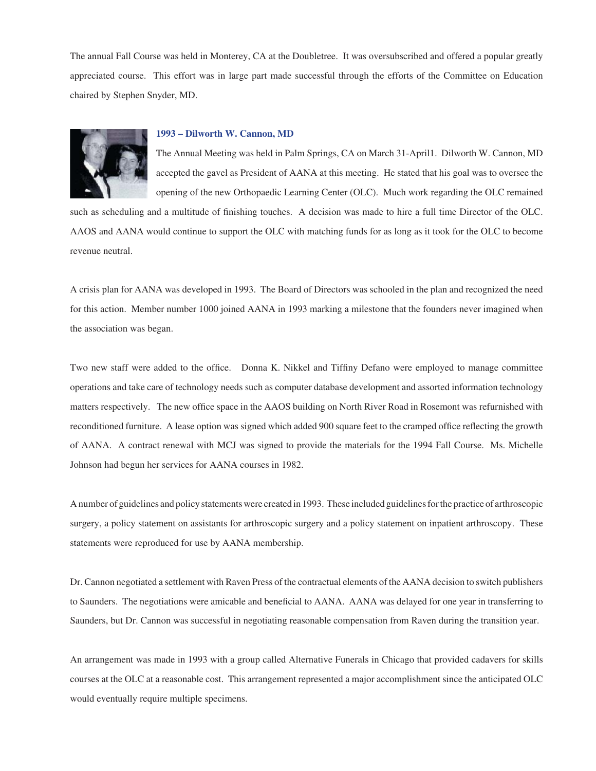The annual Fall Course was held in Monterey, CA at the Doubletree. It was oversubscribed and offered a popular greatly appreciated course. This effort was in large part made successful through the efforts of the Committee on Education chaired by Stephen Snyder, MD.



## **1993 – Dilworth W. Cannon, MD**

The Annual Meeting was held in Palm Springs, CA on March 31-April1. Dilworth W. Cannon, MD accepted the gavel as President of AANA at this meeting. He stated that his goal was to oversee the opening of the new Orthopaedic Learning Center (OLC). Much work regarding the OLC remained

such as scheduling and a multitude of finishing touches. A decision was made to hire a full time Director of the OLC. AAOS and AANA would continue to support the OLC with matching funds for as long as it took for the OLC to become revenue neutral.

A crisis plan for AANA was developed in 1993. The Board of Directors was schooled in the plan and recognized the need for this action. Member number 1000 joined AANA in 1993 marking a milestone that the founders never imagined when the association was began.

Two new staff were added to the office. Donna K. Nikkel and Tiffiny Defano were employed to manage committee operations and take care of technology needs such as computer database development and assorted information technology matters respectively. The new office space in the AAOS building on North River Road in Rosemont was refurnished with reconditioned furniture. A lease option was signed which added 900 square feet to the cramped office reflecting the growth of AANA. A contract renewal with MCJ was signed to provide the materials for the 1994 Fall Course. Ms. Michelle Johnson had begun her services for AANA courses in 1982.

A number of guidelines and policy statements were created in 1993. These included guidelines for the practice of arthroscopic surgery, a policy statement on assistants for arthroscopic surgery and a policy statement on inpatient arthroscopy. These statements were reproduced for use by AANA membership.

Dr. Cannon negotiated a settlement with Raven Press of the contractual elements of the AANA decision to switch publishers to Saunders. The negotiations were amicable and beneficial to AANA. AANA was delayed for one year in transferring to Saunders, but Dr. Cannon was successful in negotiating reasonable compensation from Raven during the transition year.

An arrangement was made in 1993 with a group called Alternative Funerals in Chicago that provided cadavers for skills courses at the OLC at a reasonable cost. This arrangement represented a major accomplishment since the anticipated OLC would eventually require multiple specimens.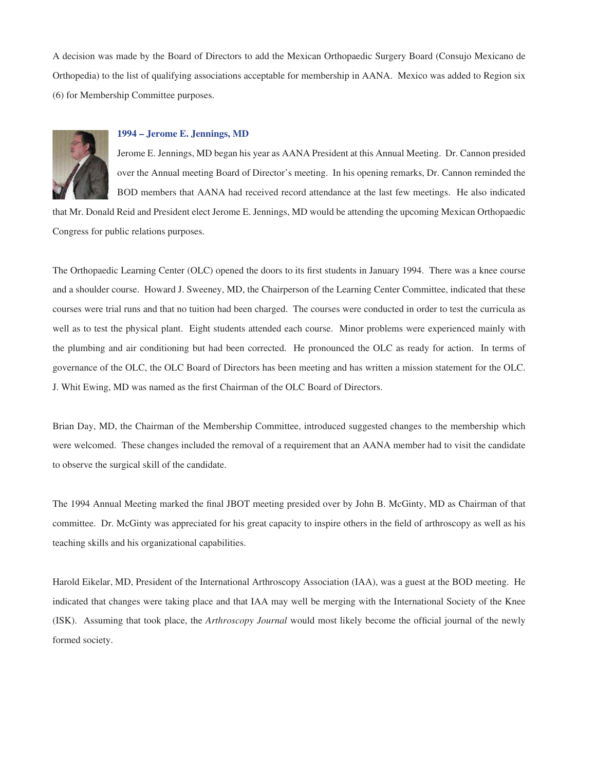A decision was made by the Board of Directors to add the Mexican Orthopaedic Surgery Board (Consujo Mexicano de Orthopedia) to the list of qualifying associations acceptable for membership in AANA. Mexico was added to Region six (6) for Membership Committee purposes.



## **1994 – Jerome E. Jennings, MD**

Jerome E. Jennings, MD began his year as AANA President at this Annual Meeting. Dr. Cannon presided over the Annual meeting Board of Director's meeting. In his opening remarks, Dr. Cannon reminded the BOD members that AANA had received record attendance at the last few meetings. He also indicated

that Mr. Donald Reid and President elect Jerome E. Jennings, MD would be attending the upcoming Mexican Orthopaedic Congress for public relations purposes.

The Orthopaedic Learning Center (OLC) opened the doors to its first students in January 1994. There was a knee course and a shoulder course. Howard J. Sweeney, MD, the Chairperson of the Learning Center Committee, indicated that these courses were trial runs and that no tuition had been charged. The courses were conducted in order to test the curricula as well as to test the physical plant. Eight students attended each course. Minor problems were experienced mainly with the plumbing and air conditioning but had been corrected. He pronounced the OLC as ready for action. In terms of governance of the OLC, the OLC Board of Directors has been meeting and has written a mission statement for the OLC. J. Whit Ewing, MD was named as the first Chairman of the OLC Board of Directors.

Brian Day, MD, the Chairman of the Membership Committee, introduced suggested changes to the membership which were welcomed. These changes included the removal of a requirement that an AANA member had to visit the candidate to observe the surgical skill of the candidate.

The 1994 Annual Meeting marked the final JBOT meeting presided over by John B. McGinty, MD as Chairman of that committee. Dr. McGinty was appreciated for his great capacity to inspire others in the field of arthroscopy as well as his teaching skills and his organizational capabilities.

Harold Eikelar, MD, President of the International Arthroscopy Association (IAA), was a guest at the BOD meeting. He indicated that changes were taking place and that IAA may well be merging with the International Society of the Knee (ISK). Assuming that took place, the *Arthroscopy Journal* would most likely become the official journal of the newly formed society.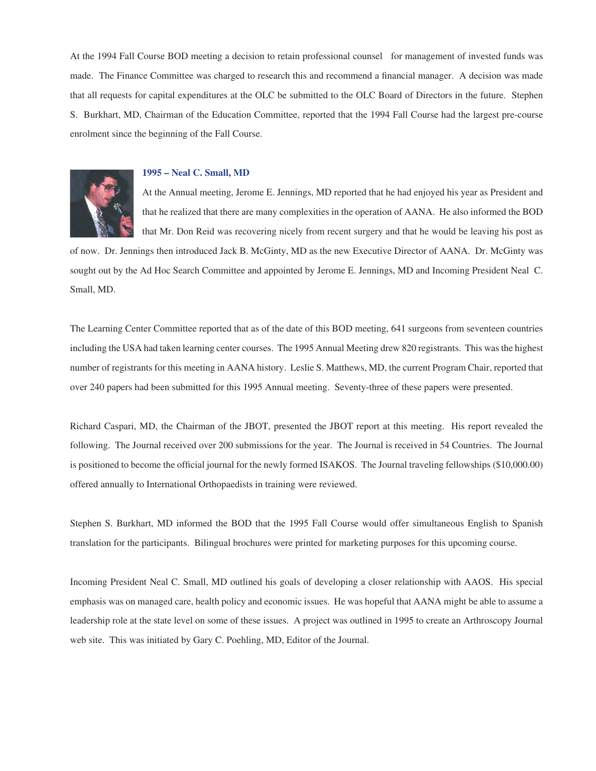At the 1994 Fall Course BOD meeting a decision to retain professional counsel for management of invested funds was made. The Finance Committee was charged to research this and recommend a financial manager. A decision was made that all requests for capital expenditures at the OLC be submitted to the OLC Board of Directors in the future. Stephen S. Burkhart, MD, Chairman of the Education Committee, reported that the 1994 Fall Course had the largest pre-course enrolment since the beginning of the Fall Course.



#### **1995 – Neal C. Small, MD**

At the Annual meeting, Jerome E. Jennings, MD reported that he had enjoyed his year as President and that he realized that there are many complexities in the operation of AANA. He also informed the BOD that Mr. Don Reid was recovering nicely from recent surgery and that he would be leaving his post as

of now. Dr. Jennings then introduced Jack B. McGinty, MD as the new Executive Director of AANA. Dr. McGinty was sought out by the Ad Hoc Search Committee and appointed by Jerome E. Jennings, MD and Incoming President Neal C. Small, MD.

The Learning Center Committee reported that as of the date of this BOD meeting, 641 surgeons from seventeen countries including the USA had taken learning center courses. The 1995 Annual Meeting drew 820 registrants. This was the highest number of registrants for this meeting in AANA history. Leslie S. Matthews, MD, the current Program Chair, reported that over 240 papers had been submitted for this 1995 Annual meeting. Seventy-three of these papers were presented.

Richard Caspari, MD, the Chairman of the JBOT, presented the JBOT report at this meeting. His report revealed the following. The Journal received over 200 submissions for the year. The Journal is received in 54 Countries. The Journal is positioned to become the official journal for the newly formed ISAKOS. The Journal traveling fellowships (\$10,000.00) offered annually to International Orthopaedists in training were reviewed.

Stephen S. Burkhart, MD informed the BOD that the 1995 Fall Course would offer simultaneous English to Spanish translation for the participants. Bilingual brochures were printed for marketing purposes for this upcoming course.

Incoming President Neal C. Small, MD outlined his goals of developing a closer relationship with AAOS. His special emphasis was on managed care, health policy and economic issues. He was hopeful that AANA might be able to assume a leadership role at the state level on some of these issues. A project was outlined in 1995 to create an Arthroscopy Journal web site. This was initiated by Gary C. Poehling, MD, Editor of the Journal.